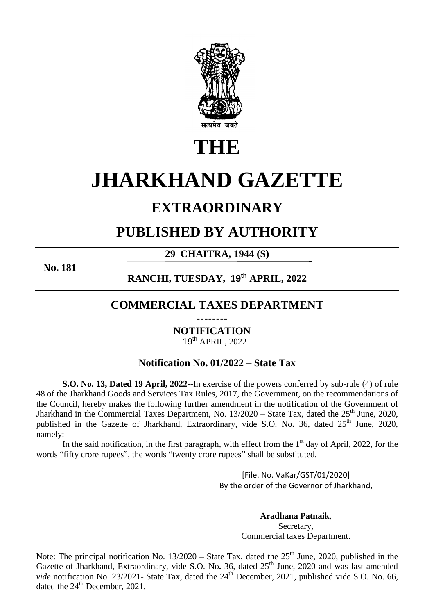

# **THE**

# **JHARKHAND GAZETTE**

## **EXTRAORDINARY**

## **PUBLISHED BY AUTHORITY**

### **29 CHAITRA, 1944 (S)**

**No. 181**

**RANCHI, TUESDAY, 19th APRIL, 2022** 

## **COMMERCIAL TAXES DEPARTMENT**

**--------** 

**NOTIFICATION** 

 $19^{th}$  APRIL, 2022

#### **Notification No. 01/2022 – State Tax**

**S.O. No. 13, Dated 19 April, 2022--**In exercise of the powers conferred by sub-rule (4) of rule 48 of the Jharkhand Goods and Services Tax Rules, 2017, the Government, on the recommendations of the Council, hereby makes the following further amendment in the notification of the Government of Jharkhand in the Commercial Taxes Department, No.  $13/2020 -$  State Tax, dated the  $25<sup>th</sup>$  June, 2020, published in the Gazette of Jharkhand, Extraordinary, vide S.O. No. 36, dated 25<sup>th</sup> June, 2020, namely:-

In the said notification, in the first paragraph, with effect from the  $1<sup>st</sup>$  day of April, 2022, for the words "fifty crore rupees", the words "twenty crore rupees" shall be substituted.

> [File. No. VaKar/GST/01/2020] By the order of the Governor of Jharkhand,

> > **Aradhana Patnaik**, Secretary, Commercial taxes Department.

Note: The principal notification No.  $13/2020$  – State Tax, dated the  $25<sup>th</sup>$  June, 2020, published in the Gazette of Jharkhand, Extraordinary, vide S.O. No. 36, dated 25<sup>th</sup> June, 2020 and was last amended *vide* notification No. 23/2021- State Tax, dated the 24<sup>th</sup> December, 2021, published vide S.O. No. 66, dated the  $24<sup>th</sup>$  December, 2021.